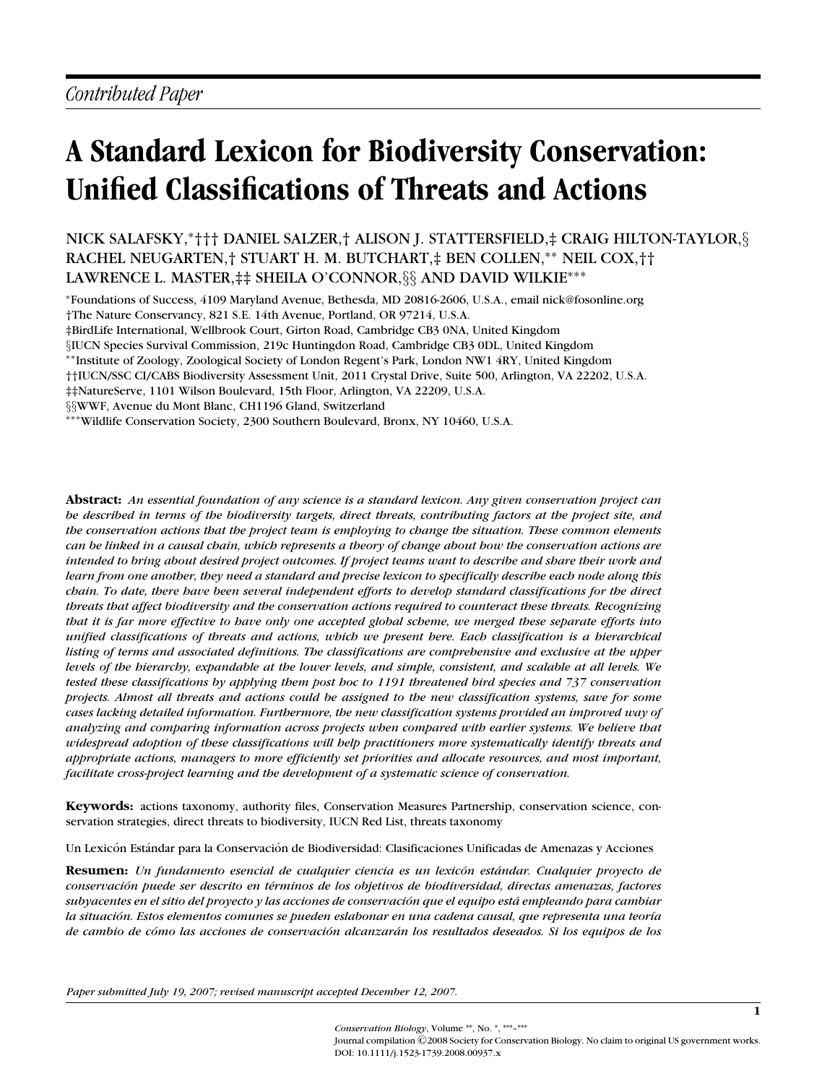# **A Standard Lexicon for Biodiversity Conservation: Unified Classifications of Threats and Actions**

NICK SALAFSKY,∗††† DANIEL SALZER,† ALISON J. STATTERSFIELD,‡ CRAIG HILTON-TAYLOR,§ RACHEL NEUGARTEN,† STUART H. M. BUTCHART,‡ BEN COLLEN,∗∗ NEIL COX,†† LAWRENCE L. MASTER,‡‡ SHEILA O'CONNOR,§§ AND DAVID WILKIE∗∗∗

<sup>∗</sup>Foundations of Success, 4109 Maryland Avenue, Bethesda, MD 20816-2606, U.S.A., email nick@fosonline.org

†The Nature Conservancy, 821 S.E. 14th Avenue, Portland, OR 97214, U.S.A.

‡BirdLife International, Wellbrook Court, Girton Road, Cambridge CB3 0NA, United Kingdom

§IUCN Species Survival Commission, 219c Huntingdon Road, Cambridge CB3 0DL, United Kingdom

∗∗Institute of Zoology, Zoological Society of London Regent's Park, London NW1 4RY, United Kingdom

††IUCN/SSC CI/CABS Biodiversity Assessment Unit, 2011 Crystal Drive, Suite 500, Arlington, VA 22202, U.S.A.

‡‡NatureServe, 1101 Wilson Boulevard, 15th Floor, Arlington, VA 22209, U.S.A.

§§WWF, Avenue du Mont Blanc, CH1196 Gland, Switzerland

∗∗∗Wildlife Conservation Society, 2300 Southern Boulevard, Bronx, NY 10460, U.S.A.

**Abstract:** *An essential foundation of any science is a standard lexicon. Any given conservation project can be described in terms of the biodiversity targets, direct threats, contributing factors at the project site, and the conservation actions that the project team is employing to change the situation. These common elements can be linked in a causal chain, which represents a theory of change about how the conservation actions are intended to bring about desired project outcomes. If project teams want to describe and share their work and learn from one another, they need a standard and precise lexicon to specifically describe each node along this chain. To date, there have been several independent efforts to develop standard classifications for the direct threats that affect biodiversity and the conservation actions required to counteract these threats. Recognizing that it is far more effective to have only one accepted global scheme, we merged these separate efforts into unified classifications of threats and actions, which we present here. Each classification is a hierarchical listing of terms and associated definitions. The classifications are comprehensive and exclusive at the upper levels of the hierarchy, expandable at the lower levels, and simple, consistent, and scalable at all levels. We tested these classifications by applying them post hoc to 1191 threatened bird species and 737 conservation projects. Almost all threats and actions could be assigned to the new classification systems, save for some cases lacking detailed information. Furthermore, the new classification systems provided an improved way of analyzing and comparing information across projects when compared with earlier systems. We believe that widespread adoption of these classifications will help practitioners more systematically identify threats and appropriate actions, managers to more efficiently set priorities and allocate resources, and most important, facilitate cross-project learning and the development of a systematic science of conservation.*

**Keywords:** actions taxonomy, authority files, Conservation Measures Partnership, conservation science, conservation strategies, direct threats to biodiversity, IUCN Red List, threats taxonomy

Un Lexicón Estándar para la Conservación de Biodiversidad: Clasificaciones Unificadas de Amenazas y Acciones

**Resumen:** *Un fundamento esencial de cualquier ciencia es un lexicón estándar. Cualquier proyecto de conservacion puede ser descrito en t ´ ´erminos de los objetivos de biodiversidad, directas amenazas, factores subyacentes en el sitio del proyecto y las acciones de conservacion que el equipo est ´ a empleando para cambiar ´ la situación. Estos elementos comunes se pueden eslabonar en una cadena causal, que representa una teoría de cambio de como las acciones de conservaci ´ on alcanzar ´ an los resultados deseados. Si los equipos de los ´*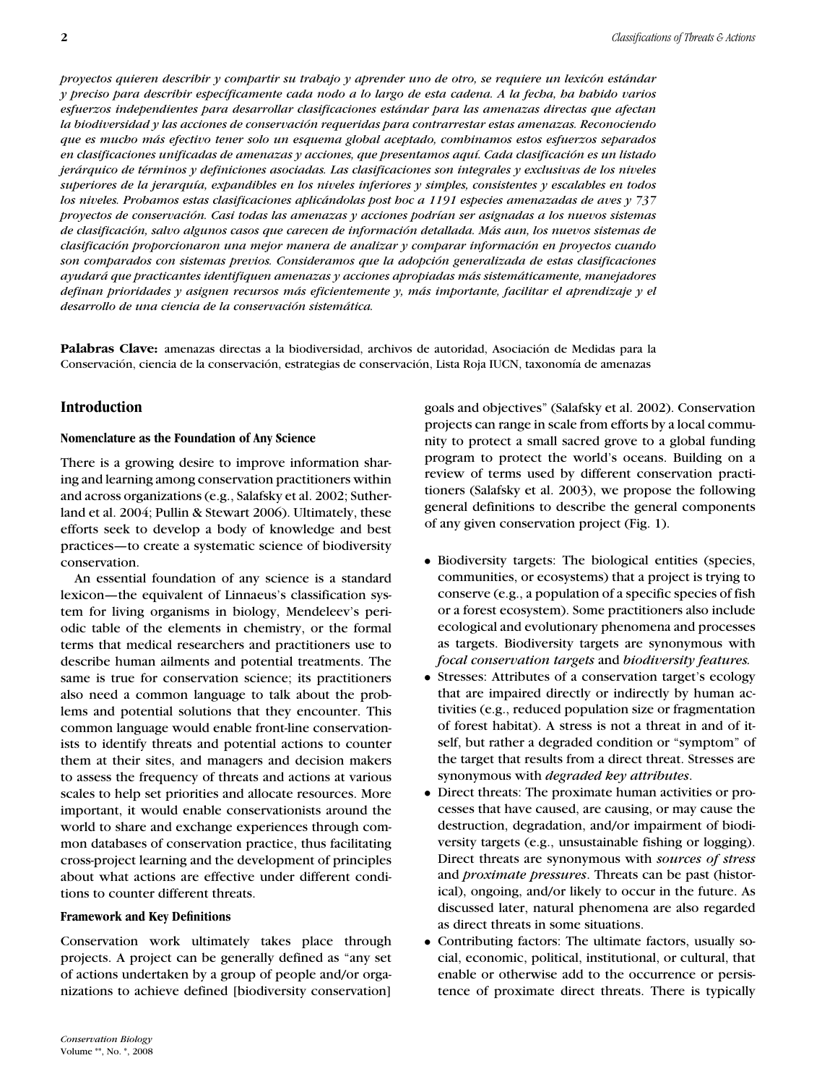*proyectos quieren describir y compartir su trabajo y aprender uno de otro, se requiere un lexicón estándar y preciso para describir espec´ıficamente cada nodo a lo largo de esta cadena. A la fecha, ha habido varios esfuerzos independientes para desarrollar clasificaciones estandar para las amenazas directas que afectan ´ la biodiversidad y las acciones de conservacion requeridas para contrarrestar estas amenazas. Reconociendo ´ que es mucho mas efectivo tener solo un esquema global aceptado, combinamos estos esfuerzos separados ´ en clasificaciones unificadas de amenazas y acciones, que presentamos aqu´ı. Cada clasificacion es un listado ´ jerarquico de t ´ ´erminos y definiciones asociadas. Las clasificaciones son integrales y exclusivas de los niveles superiores de la jerarqu´ıa, expandibles en los niveles inferiores y simples, consistentes y escalables en todos los niveles. Probamos estas clasificaciones aplicandolas post hoc a 1191 especies amenazadas de aves y 737 ´ proyectos de conservacion. Casi todas las amenazas y acciones podr ´ ´ıan ser asignadas a los nuevos sistemas de clasificacion, salvo algunos casos que carecen de informaci ´ on detallada. M ´ as aun, los nuevos sistemas de ´ clasificacion proporcionaron una mejor manera de analizar y comparar informaci ´ on en proyectos cuando ´ son comparados con sistemas previos. Consideramos que la adopcion generalizada de estas clasificaciones ´ ayudara que practicantes identifiquen amenazas y acciones apropiadas m ´ as sistem ´ aticamente, manejadores ´ definan prioridades y asignen recursos mas eficientemente y, m ´ as importante, facilitar el aprendizaje y el ´ desarrollo de una ciencia de la conservacion sistem ´ atica. ´*

**Palabras Clave:** amenazas directas a la biodiversidad, archivos de autoridad, Asociacion de Medidas para la ´ Conservación, ciencia de la conservación, estrategias de conservación, Lista Roja IUCN, taxonomía de amenazas

# **Introduction**

# **Nomenclature as the Foundation of Any Science**

There is a growing desire to improve information sharing and learning among conservation practitioners within and across organizations (e.g., Salafsky et al. 2002; Sutherland et al. 2004; Pullin & Stewart 2006). Ultimately, these efforts seek to develop a body of knowledge and best practices—to create a systematic science of biodiversity conservation.

An essential foundation of any science is a standard lexicon—the equivalent of Linnaeus's classification system for living organisms in biology, Mendeleev's periodic table of the elements in chemistry, or the formal terms that medical researchers and practitioners use to describe human ailments and potential treatments. The same is true for conservation science; its practitioners also need a common language to talk about the problems and potential solutions that they encounter. This common language would enable front-line conservationists to identify threats and potential actions to counter them at their sites, and managers and decision makers to assess the frequency of threats and actions at various scales to help set priorities and allocate resources. More important, it would enable conservationists around the world to share and exchange experiences through common databases of conservation practice, thus facilitating cross-project learning and the development of principles about what actions are effective under different conditions to counter different threats.

#### **Framework and Key Definitions**

Conservation work ultimately takes place through projects. A project can be generally defined as "any set of actions undertaken by a group of people and/or organizations to achieve defined [biodiversity conservation] goals and objectives" (Salafsky et al. 2002). Conservation projects can range in scale from efforts by a local community to protect a small sacred grove to a global funding program to protect the world's oceans. Building on a review of terms used by different conservation practitioners (Salafsky et al. 2003), we propose the following general definitions to describe the general components of any given conservation project (Fig. 1).

- Biodiversity targets: The biological entities (species, communities, or ecosystems) that a project is trying to conserve (e.g., a population of a specific species of fish or a forest ecosystem). Some practitioners also include ecological and evolutionary phenomena and processes as targets. Biodiversity targets are synonymous with *focal conservation targets* and *biodiversity features.*
- Stresses: Attributes of a conservation target's ecology that are impaired directly or indirectly by human activities (e.g., reduced population size or fragmentation of forest habitat). A stress is not a threat in and of itself, but rather a degraded condition or "symptom" of the target that results from a direct threat. Stresses are synonymous with *degraded key attributes*.
- Direct threats: The proximate human activities or processes that have caused, are causing, or may cause the destruction, degradation, and/or impairment of biodiversity targets (e.g., unsustainable fishing or logging). Direct threats are synonymous with *sources of stress* and *proximate pressures*. Threats can be past (historical), ongoing, and/or likely to occur in the future. As discussed later, natural phenomena are also regarded as direct threats in some situations.
- Contributing factors: The ultimate factors, usually social, economic, political, institutional, or cultural, that enable or otherwise add to the occurrence or persistence of proximate direct threats. There is typically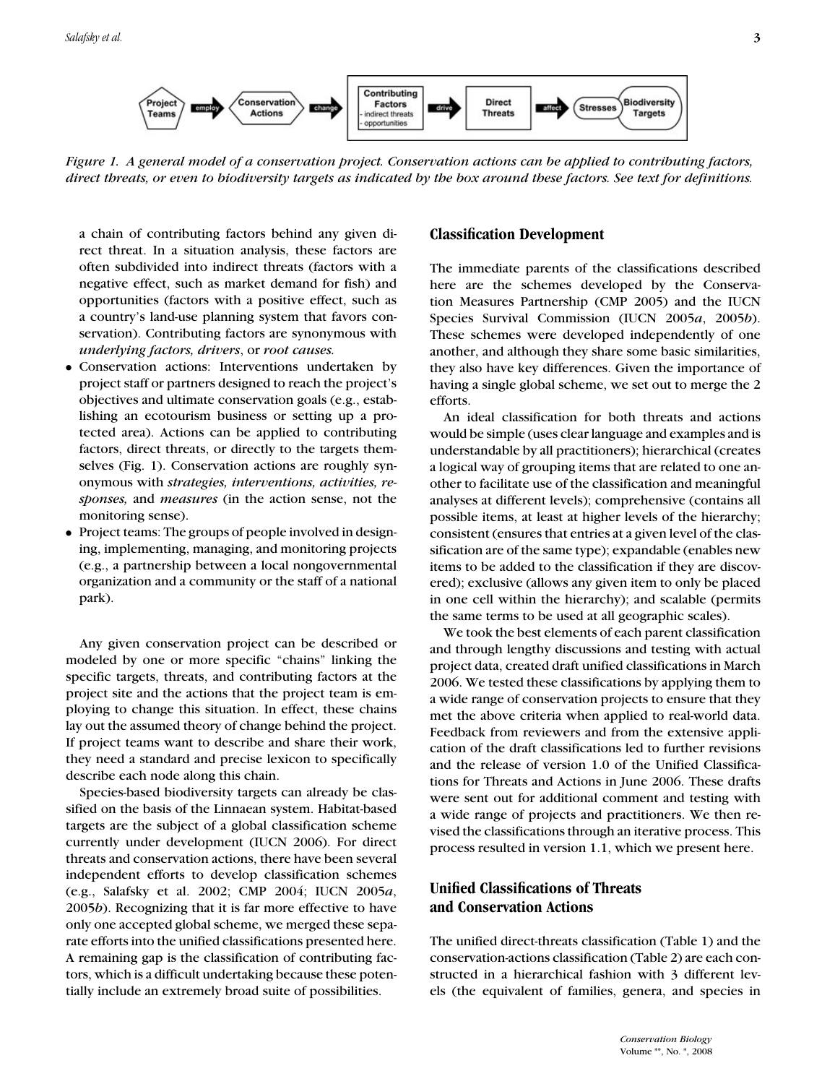

*Figure 1. A general model of a conservation project. Conservation actions can be applied to contributing factors, direct threats, or even to biodiversity targets as indicated by the box around these factors. See text for definitions.*

a chain of contributing factors behind any given direct threat. In a situation analysis, these factors are often subdivided into indirect threats (factors with a negative effect, such as market demand for fish) and opportunities (factors with a positive effect, such as a country's land-use planning system that favors conservation). Contributing factors are synonymous with *underlying factors, drivers*, or *root causes.*

- Conservation actions: Interventions undertaken by project staff or partners designed to reach the project's objectives and ultimate conservation goals (e.g., establishing an ecotourism business or setting up a protected area). Actions can be applied to contributing factors, direct threats, or directly to the targets themselves (Fig. 1). Conservation actions are roughly synonymous with *strategies, interventions, activities, responses,* and *measures* (in the action sense, not the monitoring sense).
- Project teams: The groups of people involved in designing, implementing, managing, and monitoring projects (e.g., a partnership between a local nongovernmental organization and a community or the staff of a national park).

Any given conservation project can be described or modeled by one or more specific "chains" linking the specific targets, threats, and contributing factors at the project site and the actions that the project team is employing to change this situation. In effect, these chains lay out the assumed theory of change behind the project. If project teams want to describe and share their work, they need a standard and precise lexicon to specifically describe each node along this chain.

Species-based biodiversity targets can already be classified on the basis of the Linnaean system. Habitat-based targets are the subject of a global classification scheme currently under development (IUCN 2006). For direct threats and conservation actions, there have been several independent efforts to develop classification schemes (e.g., Salafsky et al. 2002; CMP 2004; IUCN 2005*a*, 2005*b*). Recognizing that it is far more effective to have only one accepted global scheme, we merged these separate efforts into the unified classifications presented here. A remaining gap is the classification of contributing factors, which is a difficult undertaking because these potentially include an extremely broad suite of possibilities.

# **Classification Development**

The immediate parents of the classifications described here are the schemes developed by the Conservation Measures Partnership (CMP 2005) and the IUCN Species Survival Commission (IUCN 2005*a*, 2005*b*). These schemes were developed independently of one another, and although they share some basic similarities, they also have key differences. Given the importance of having a single global scheme, we set out to merge the 2 efforts.

An ideal classification for both threats and actions would be simple (uses clear language and examples and is understandable by all practitioners); hierarchical (creates a logical way of grouping items that are related to one another to facilitate use of the classification and meaningful analyses at different levels); comprehensive (contains all possible items, at least at higher levels of the hierarchy; consistent (ensures that entries at a given level of the classification are of the same type); expandable (enables new items to be added to the classification if they are discovered); exclusive (allows any given item to only be placed in one cell within the hierarchy); and scalable (permits the same terms to be used at all geographic scales).

We took the best elements of each parent classification and through lengthy discussions and testing with actual project data, created draft unified classifications in March 2006. We tested these classifications by applying them to a wide range of conservation projects to ensure that they met the above criteria when applied to real-world data. Feedback from reviewers and from the extensive application of the draft classifications led to further revisions and the release of version 1.0 of the Unified Classifications for Threats and Actions in June 2006. These drafts were sent out for additional comment and testing with a wide range of projects and practitioners. We then revised the classifications through an iterative process. This process resulted in version 1.1, which we present here.

# **Unified Classifications of Threats and Conservation Actions**

The unified direct-threats classification (Table 1) and the conservation-actions classification (Table 2) are each constructed in a hierarchical fashion with 3 different levels (the equivalent of families, genera, and species in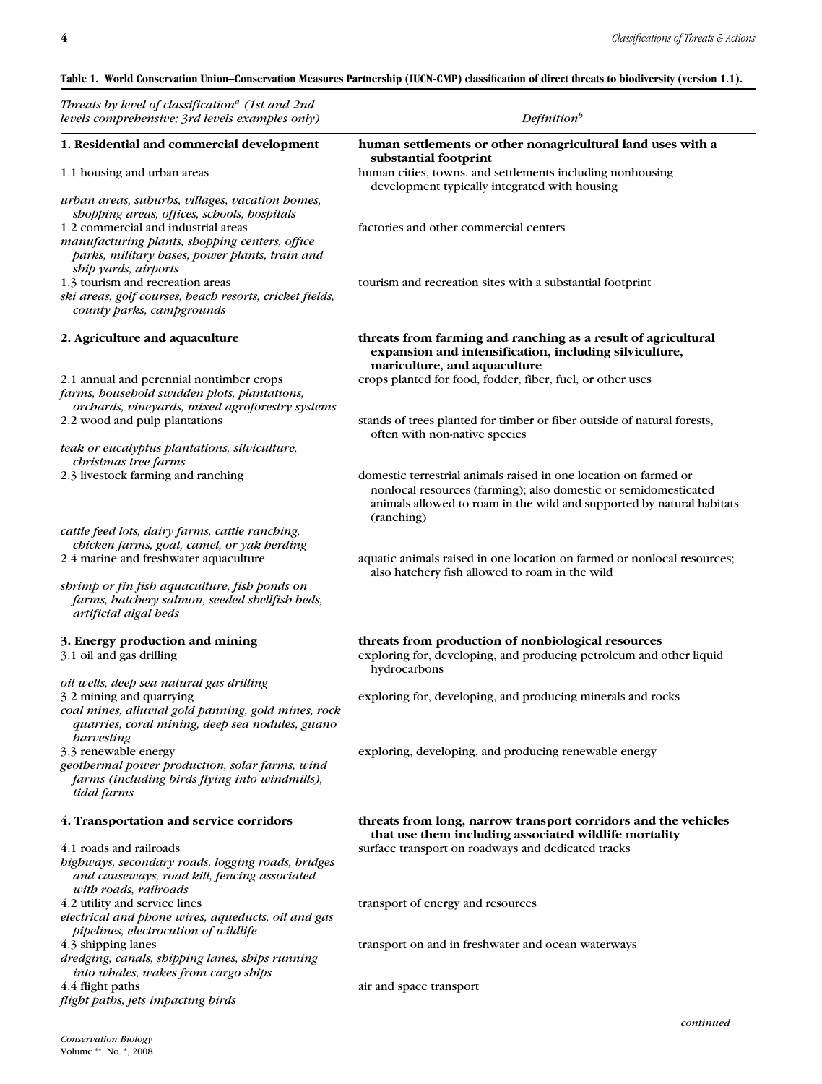# **Table 1. World Conservation Union–Conservation Measures Partnership (IUCN-CMP) classification of direct threats to biodiversity (version 1.1).**

| Threats by level of classification <sup>a</sup> (1st and 2nd<br>levels comprehensive; 3rd levels examples only)                                                                | <b>Definition</b> <sup>b</sup>                                                                                                                                                                                             |
|--------------------------------------------------------------------------------------------------------------------------------------------------------------------------------|----------------------------------------------------------------------------------------------------------------------------------------------------------------------------------------------------------------------------|
| 1. Residential and commercial development                                                                                                                                      | human settlements or other nonagricultural land uses with a<br>substantial footprint                                                                                                                                       |
| 1.1 housing and urban areas                                                                                                                                                    | human cities, towns, and settlements including nonhousing<br>development typically integrated with housing                                                                                                                 |
| urban areas, suburbs, villages, vacation bomes,<br>shopping areas, offices, schools, hospitals<br>1.2 commercial and industrial areas                                          | factories and other commercial centers                                                                                                                                                                                     |
| manufacturing plants, shopping centers, office<br>parks, military bases, power plants, train and<br>ship yards, airports                                                       |                                                                                                                                                                                                                            |
| 1.3 tourism and recreation areas<br>ski areas, golf courses, beach resorts, cricket fields,<br>county parks, campgrounds                                                       | tourism and recreation sites with a substantial footprint                                                                                                                                                                  |
| 2. Agriculture and aquaculture                                                                                                                                                 | threats from farming and ranching as a result of agricultural<br>expansion and intensification, including silviculture,<br>mariculture, and aquaculture                                                                    |
| 2.1 annual and perennial nontimber crops<br>farms, bousebold swidden plots, plantations,<br>orchards, vineyards, mixed agroforestry systems                                    | crops planted for food, fodder, fiber, fuel, or other uses                                                                                                                                                                 |
| 2.2 wood and pulp plantations                                                                                                                                                  | stands of trees planted for timber or fiber outside of natural forests,<br>often with non-native species                                                                                                                   |
| teak or eucalyptus plantations, silviculture,<br>christmas tree farms                                                                                                          |                                                                                                                                                                                                                            |
| 2.3 livestock farming and ranching                                                                                                                                             | domestic terrestrial animals raised in one location on farmed or<br>nonlocal resources (farming); also domestic or semidomesticated<br>animals allowed to roam in the wild and supported by natural habitats<br>(ranching) |
| cattle feed lots, dairy farms, cattle ranching,<br>chicken farms, goat, camel, or yak herding<br>2.4 marine and freshwater aquaculture                                         | aquatic animals raised in one location on farmed or nonlocal resources;                                                                                                                                                    |
| shrimp or fin fish aquaculture, fish ponds on<br>farms, hatchery salmon, seeded shellfish beds,<br>artificial algal beds                                                       | also hatchery fish allowed to roam in the wild                                                                                                                                                                             |
| 3. Energy production and mining<br>3.1 oil and gas drilling                                                                                                                    | threats from production of nonbiological resources<br>exploring for, developing, and producing petroleum and other liquid<br>hydrocarbons                                                                                  |
| oil wells, deep sea natural gas drilling<br>3.2 mining and quarrying<br>coal mines, alluvial gold panning, gold mines, rock<br>quarries, coral mining, deep sea nodules, guano | exploring for, developing, and producing minerals and rocks                                                                                                                                                                |
| <b>barvesting</b><br>3.3 renewable energy<br>geothermal power production, solar farms, wind<br>farms (including birds flying into windmills),<br>tidal farms                   | exploring, developing, and producing renewable energy                                                                                                                                                                      |
| 4. Transportation and service corridors                                                                                                                                        | threats from long, narrow transport corridors and the vehicles<br>that use them including associated wildlife mortality                                                                                                    |
| 4.1 roads and railroads<br>bigbways, secondary roads, logging roads, bridges<br>and causeways, road kill, fencing associated<br>with roads, railroads                          | surface transport on roadways and dedicated tracks                                                                                                                                                                         |
| 4.2 utility and service lines<br>electrical and phone wires, aqueducts, oil and gas<br>pipelines, electrocution of wildlife                                                    | transport of energy and resources                                                                                                                                                                                          |
| 4.3 shipping lanes<br>dredging, canals, shipping lanes, ships running                                                                                                          | transport on and in freshwater and ocean waterways                                                                                                                                                                         |
| into whales, wakes from cargo ships<br>4.4 flight paths<br>flight paths, jets impacting birds                                                                                  | air and space transport                                                                                                                                                                                                    |
|                                                                                                                                                                                | continued                                                                                                                                                                                                                  |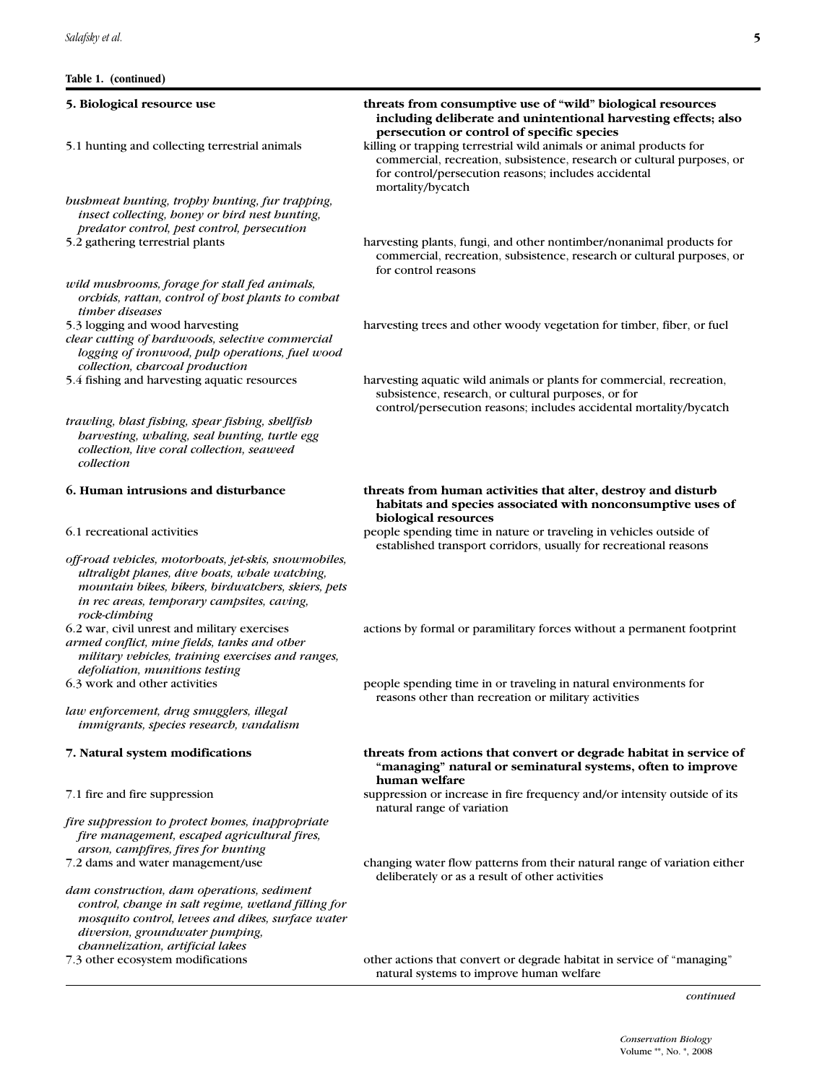# **Table 1. (continued)**

| 5. Biological resource use                                                                                                                                                                                                    | threats from consumptive use of "wild" biological resources<br>including deliberate and unintentional harvesting effects; also                                                                                                                                           |
|-------------------------------------------------------------------------------------------------------------------------------------------------------------------------------------------------------------------------------|--------------------------------------------------------------------------------------------------------------------------------------------------------------------------------------------------------------------------------------------------------------------------|
| 5.1 hunting and collecting terrestrial animals                                                                                                                                                                                | persecution or control of specific species<br>killing or trapping terrestrial wild animals or animal products for<br>commercial, recreation, subsistence, research or cultural purposes, or<br>for control/persecution reasons; includes accidental<br>mortality/bycatch |
| bushmeat hunting, trophy hunting, fur trapping,<br>insect collecting, honey or bird nest hunting,                                                                                                                             |                                                                                                                                                                                                                                                                          |
| predator control, pest control, persecution<br>5.2 gathering terrestrial plants                                                                                                                                               | harvesting plants, fungi, and other nontimber/nonanimal products for<br>commercial, recreation, subsistence, research or cultural purposes, or<br>for control reasons                                                                                                    |
| wild musbrooms, forage for stall fed animals,<br>orchids, rattan, control of host plants to combat<br>timber diseases                                                                                                         |                                                                                                                                                                                                                                                                          |
| 5.3 logging and wood harvesting<br>clear cutting of hardwoods, selective commercial<br>logging of ironwood, pulp operations, fuel wood                                                                                        | harvesting trees and other woody vegetation for timber, fiber, or fuel                                                                                                                                                                                                   |
| collection, charcoal production<br>5.4 fishing and harvesting aquatic resources                                                                                                                                               | harvesting aquatic wild animals or plants for commercial, recreation,<br>subsistence, research, or cultural purposes, or for<br>control/persecution reasons; includes accidental mortality/bycatch                                                                       |
| trawling, blast fishing, spear fishing, shellfish<br>barvesting, whaling, seal hunting, turtle egg<br>collection, live coral collection, seaweed<br>collection                                                                |                                                                                                                                                                                                                                                                          |
| 6. Human intrusions and disturbance                                                                                                                                                                                           | threats from human activities that alter, destroy and disturb<br>habitats and species associated with nonconsumptive uses of<br>biological resources                                                                                                                     |
| 6.1 recreational activities                                                                                                                                                                                                   | people spending time in nature or traveling in vehicles outside of<br>established transport corridors, usually for recreational reasons                                                                                                                                  |
| off-road vehicles, motorboats, jet-skis, snowmobiles,<br>ultralight planes, dive boats, whale watching,<br>mountain bikes, bikers, birdwatchers, skiers, pets<br>in rec areas, temporary campsites, caving,<br>rock-climbing  |                                                                                                                                                                                                                                                                          |
| 6.2 war, civil unrest and military exercises<br>armed conflict, mine fields, tanks and other<br>military vebicles, training exercises and ranges,<br>defoliation, munitions testing                                           | actions by formal or paramilitary forces without a permanent footprint                                                                                                                                                                                                   |
| 6.3 work and other activities                                                                                                                                                                                                 | people spending time in or traveling in natural environments for<br>reasons other than recreation or military activities                                                                                                                                                 |
| law enforcement, drug smugglers, illegal<br><i>immigrants, species research, vandalism</i>                                                                                                                                    |                                                                                                                                                                                                                                                                          |
| 7. Natural system modifications                                                                                                                                                                                               | threats from actions that convert or degrade habitat in service of<br>"managing" natural or seminatural systems, often to improve<br>human welfare                                                                                                                       |
| 7.1 fire and fire suppression                                                                                                                                                                                                 | suppression or increase in fire frequency and/or intensity outside of its<br>natural range of variation                                                                                                                                                                  |
| fire suppression to protect bomes, inappropriate<br>fire management, escaped agricultural fires,<br>arson, campfires, fires for bunting                                                                                       |                                                                                                                                                                                                                                                                          |
| 7.2 dams and water management/use                                                                                                                                                                                             | changing water flow patterns from their natural range of variation either<br>deliberately or as a result of other activities                                                                                                                                             |
| dam construction, dam operations, sediment<br>control, change in salt regime, wetland filling for<br>mosquito control, levees and dikes, surface water<br>diversion, groundwater pumping,<br>channelization, artificial lakes |                                                                                                                                                                                                                                                                          |
| 7.3 other ecosystem modifications                                                                                                                                                                                             | other actions that convert or degrade habitat in service of "managing"<br>natural systems to improve human welfare                                                                                                                                                       |

*continued*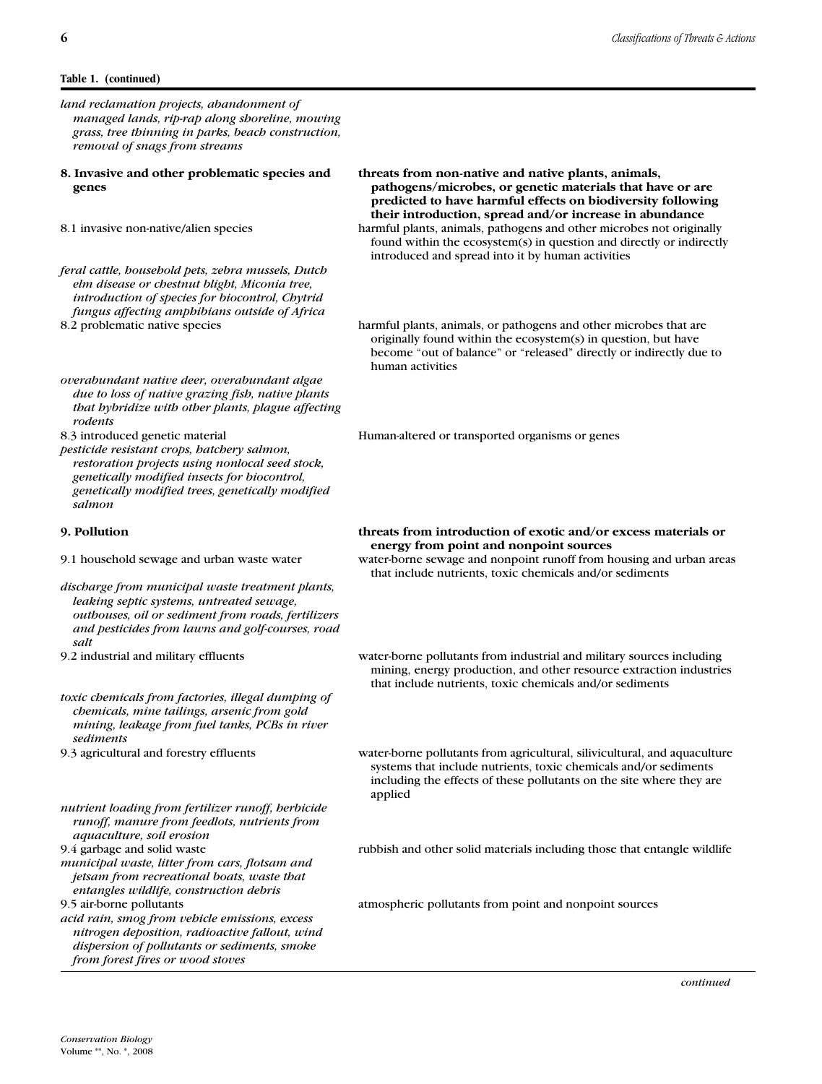#### **Table 1. (continued)**

*land reclamation projects, abandonment of managed lands, rip-rap along shoreline, mowing grass, tree thinning in parks, beach construction, removal of snags from streams*

**8. Invasive and other problematic species and genes**

*feral cattle, household pets, zebra mussels, Dutch elm disease or chestnut blight, Miconia tree, introduction of species for biocontrol, Chytrid fungus affecting amphibians outside of Africa*

*overabundant native deer, overabundant algae due to loss of native grazing fish, native plants that hybridize with other plants, plague affecting rodents*

*pesticide resistant crops, hatchery salmon, restoration projects using nonlocal seed stock, genetically modified insects for biocontrol, genetically modified trees, genetically modified salmon*

- 
- *discharge from municipal waste treatment plants, leaking septic systems, untreated sewage, outhouses, oil or sediment from roads, fertilizers and pesticides from lawns and golf-courses, road salt*
- 
- *toxic chemicals from factories, illegal dumping of chemicals, mine tailings, arsenic from gold mining, leakage from fuel tanks, PCBs in river sediments*

- *nutrient loading from fertilizer runoff, herbicide runoff, manure from feedlots, nutrients from aquaculture, soil erosion*
- 
- *municipal waste, litter from cars, flotsam and jetsam from recreational boats, waste that entangles wildlife, construction debris*

*acid rain, smog from vehicle emissions, excess nitrogen deposition, radioactive fallout, wind dispersion of pollutants or sediments, smoke from forest fires or wood stoves*

**threats from non-native and native plants, animals, pathogens/microbes, or genetic materials that have or are predicted to have harmful effects on biodiversity following their introduction, spread and/or increase in abundance** 8.1 invasive non-native/alien species harmful plants, animals, pathogens and other microbes not originally

found within the ecosystem(s) in question and directly or indirectly introduced and spread into it by human activities

8.2 problematic native species harmful plants, animals, or pathogens and other microbes that are originally found within the ecosystem(s) in question, but have become "out of balance" or "released" directly or indirectly due to human activities

Human-altered or transported organisms or genes

**9. Pollution threats from introduction of exotic and/or excess materials or energy from point and nonpoint sources**

9.1 household sewage and urban waste water water-borne sewage and nonpoint runoff from housing and urban areas that include nutrients, toxic chemicals and/or sediments

9.2 industrial and military effluents water-borne pollutants from industrial and military sources including mining, energy production, and other resource extraction industries that include nutrients, toxic chemicals and/or sediments

9.3 agricultural and forestry effluents water-borne pollutants from agricultural, silivicultural, and aquaculture systems that include nutrients, toxic chemicals and/or sediments including the effects of these pollutants on the site where they are applied

9.4 garbage and solid waste rubbish and other solid materials including those that entangle wildlife

9.5 air-borne pollutants atmospheric pollutants from point and nonpoint sources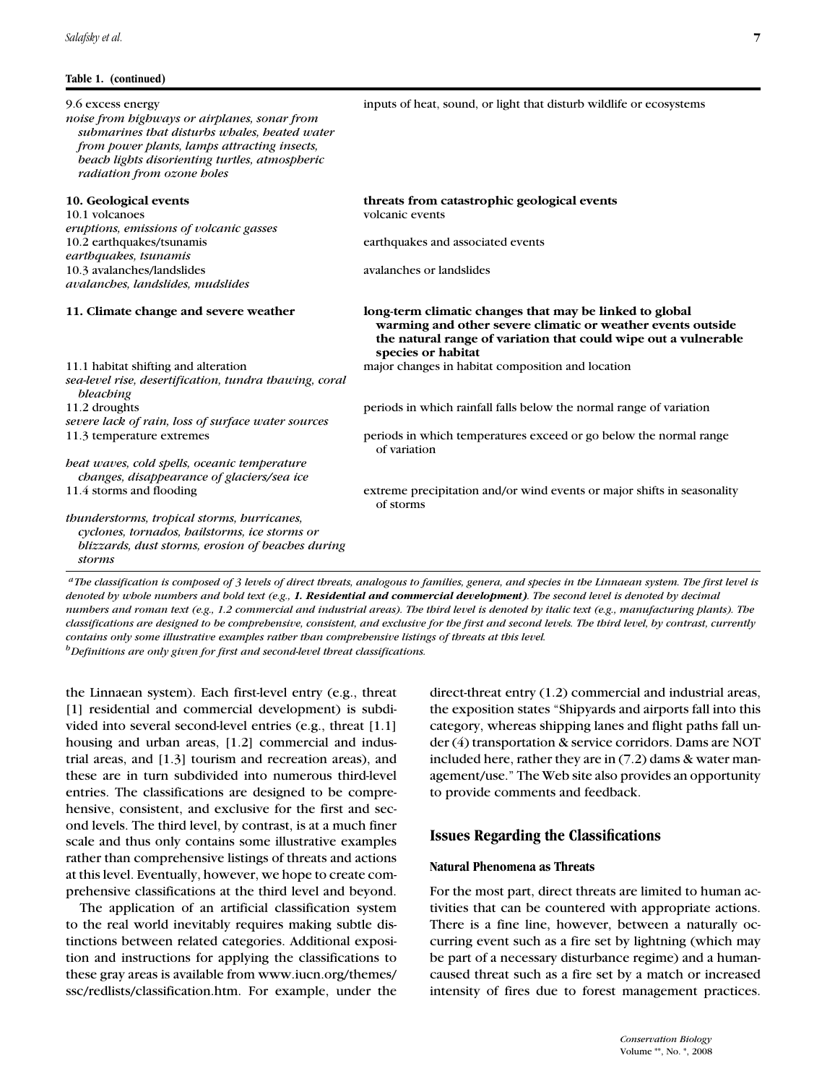#### **Table 1. (continued)**

| 9.6 excess energy<br>noise from bigbways or airplanes, sonar from<br>submarines that disturbs whales, heated water<br>from power plants, lamps attracting insects,<br>beach lights disorienting turtles, atmospheric<br>radiation from ozone boles | inputs of heat, sound, or light that disturb wildlife or ecosystems                                                                                                                                             |
|----------------------------------------------------------------------------------------------------------------------------------------------------------------------------------------------------------------------------------------------------|-----------------------------------------------------------------------------------------------------------------------------------------------------------------------------------------------------------------|
| 10. Geological events                                                                                                                                                                                                                              | threats from catastrophic geological events                                                                                                                                                                     |
| 10.1 volcanoes                                                                                                                                                                                                                                     | volcanic events                                                                                                                                                                                                 |
| eruptions, emissions of volcanic gasses<br>10.2 earthquakes/tsunamis<br>earthquakes, tsunamis                                                                                                                                                      | earthquakes and associated events                                                                                                                                                                               |
| 10.3 avalanches/landslides<br>avalanches, landslides, mudslides                                                                                                                                                                                    | avalanches or landslides                                                                                                                                                                                        |
| 11. Climate change and severe weather                                                                                                                                                                                                              | long-term climatic changes that may be linked to global<br>warming and other severe climatic or weather events outside<br>the natural range of variation that could wipe out a vulnerable<br>species or habitat |
| 11.1 habitat shifting and alteration<br>sea-level rise, desertification, tundra thawing, coral<br>bleaching                                                                                                                                        | major changes in habitat composition and location                                                                                                                                                               |
| 11.2 droughts                                                                                                                                                                                                                                      | periods in which rainfall falls below the normal range of variation                                                                                                                                             |
| severe lack of rain, loss of surface water sources<br>11.3 temperature extremes                                                                                                                                                                    | periods in which temperatures exceed or go below the normal range<br>of variation                                                                                                                               |
| beat waves, cold spells, oceanic temperature<br>changes, disappearance of glaciers/sea ice                                                                                                                                                         |                                                                                                                                                                                                                 |
| 11.4 storms and flooding                                                                                                                                                                                                                           | extreme precipitation and/or wind events or major shifts in seasonality<br>of storms                                                                                                                            |
| thunderstorms, tropical storms, hurricanes,<br>cyclones, tornados, bailstorms, ice storms or<br>blizzards, dust storms, erosion of beaches during<br>storms                                                                                        |                                                                                                                                                                                                                 |

*aThe classification is composed of 3 levels of direct threats, analogous to families, genera, and species in the Linnaean system. The first level is denoted by whole numbers and bold text (e.g., 1. Residential and commercial development). The second level is denoted by decimal numbers and roman text (e.g., 1.2 commercial and industrial areas). The third level is denoted by italic text (e.g., manufacturing plants). The classifications are designed to be comprehensive, consistent, and exclusive for the first and second levels. The third level, by contrast, currently contains only some illustrative examples rather than comprehensive listings of threats at this level. bDefinitions are only given for first and second-level threat classifications.*

the Linnaean system). Each first-level entry (e.g., threat [1] residential and commercial development) is subdivided into several second-level entries (e.g., threat [1.1] housing and urban areas, [1.2] commercial and industrial areas, and [1.3] tourism and recreation areas), and these are in turn subdivided into numerous third-level entries. The classifications are designed to be comprehensive, consistent, and exclusive for the first and second levels. The third level, by contrast, is at a much finer scale and thus only contains some illustrative examples rather than comprehensive listings of threats and actions at this level. Eventually, however, we hope to create comprehensive classifications at the third level and beyond.

The application of an artificial classification system to the real world inevitably requires making subtle distinctions between related categories. Additional exposition and instructions for applying the classifications to these gray areas is available from www.iucn.org/themes/ ssc/redlists/classification.htm. For example, under the direct-threat entry (1.2) commercial and industrial areas, the exposition states "Shipyards and airports fall into this category, whereas shipping lanes and flight paths fall under (4) transportation & service corridors. Dams are NOT included here, rather they are in (7.2) dams & water management/use." The Web site also provides an opportunity to provide comments and feedback.

# **Issues Regarding the Classifications**

#### **Natural Phenomena as Threats**

For the most part, direct threats are limited to human activities that can be countered with appropriate actions. There is a fine line, however, between a naturally occurring event such as a fire set by lightning (which may be part of a necessary disturbance regime) and a humancaused threat such as a fire set by a match or increased intensity of fires due to forest management practices.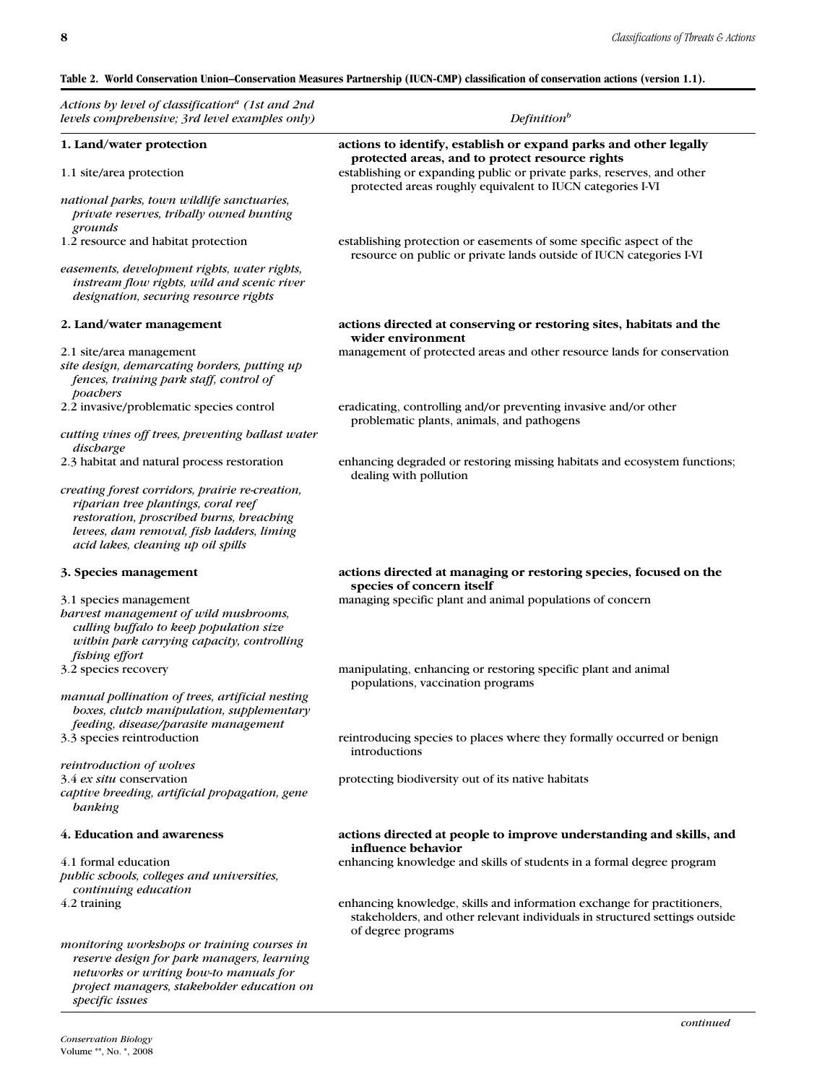#### **Table 2. World Conservation Union–Conservation Measures Partnership (IUCN-CMP) classification of conservation actions (version 1.1).**

*Actions by level of classificationa (1st and 2nd levels comprehensive; 3rd level examples only) Definition<sup>b</sup>* **1. Land/water protection actions to identify, establish or expand parks and other legally protected areas, and to protect resource rights** 1.1 site/area protection establishing or expanding public or private parks, reserves, and other protected areas roughly equivalent to IUCN categories I-VI *national parks, town wildlife sanctuaries, private reserves, tribally owned hunting grounds*<br>1.2 resource and habitat protection establishing protection or easements of some specific aspect of the resource on public or private lands outside of IUCN categories I-VI *easements, development rights, water rights, instream flow rights, wild and scenic river designation, securing resource rights* **2. Land/water management actions directed at conserving or restoring sites, habitats and the wider environment** 2.1 site/area management management of protected areas and other resource lands for conservation *site design, demarcating borders, putting up fences, training park staff, control of poachers* 2.2 invasive/problematic species control eradicating, controlling and/or preventing invasive and/or other problematic plants, animals, and pathogens *cutting vines off trees, preventing ballast water discharge* 2.3 habitat and natural process restoration enhancing degraded or restoring missing habitats and ecosystem functions; dealing with pollution *creating forest corridors, prairie re-creation, riparian tree plantings, coral reef restoration, proscribed burns, breaching levees, dam removal, fish ladders, liming acid lakes, cleaning up oil spills* **3. Species management actions directed at managing or restoring species, focused on the species of concern itself** 3.1 species management managing specific plant and animal populations of concern *harvest management of wild mushrooms, culling buffalo to keep population size within park carrying capacity, controlling fishing effort* 3.2 species recovery manipulating, enhancing or restoring specific plant and animal populations, vaccination programs *manual pollination of trees, artificial nesting boxes, clutch manipulation, supplementary feeding, disease/parasite management* reintroducing species to places where they formally occurred or benign introductions *reintroduction of wolves* 3.4 *ex situ* conservation protecting biodiversity out of its native habitats *captive breeding, artificial propagation, gene banking* **4. Education and awareness actions directed at people to improve understanding and skills, and influence behavior** 4.1 formal education enhancing knowledge and skills of students in a formal degree program *public schools, colleges and universities, continuing education* 4.2 training enhancing knowledge, skills and information exchange for practitioners, stakeholders, and other relevant individuals in structured settings outside of degree programs *monitoring workshops or training courses in reserve design for park managers, learning networks or writing how-to manuals for project managers, stakeholder education on specific issues*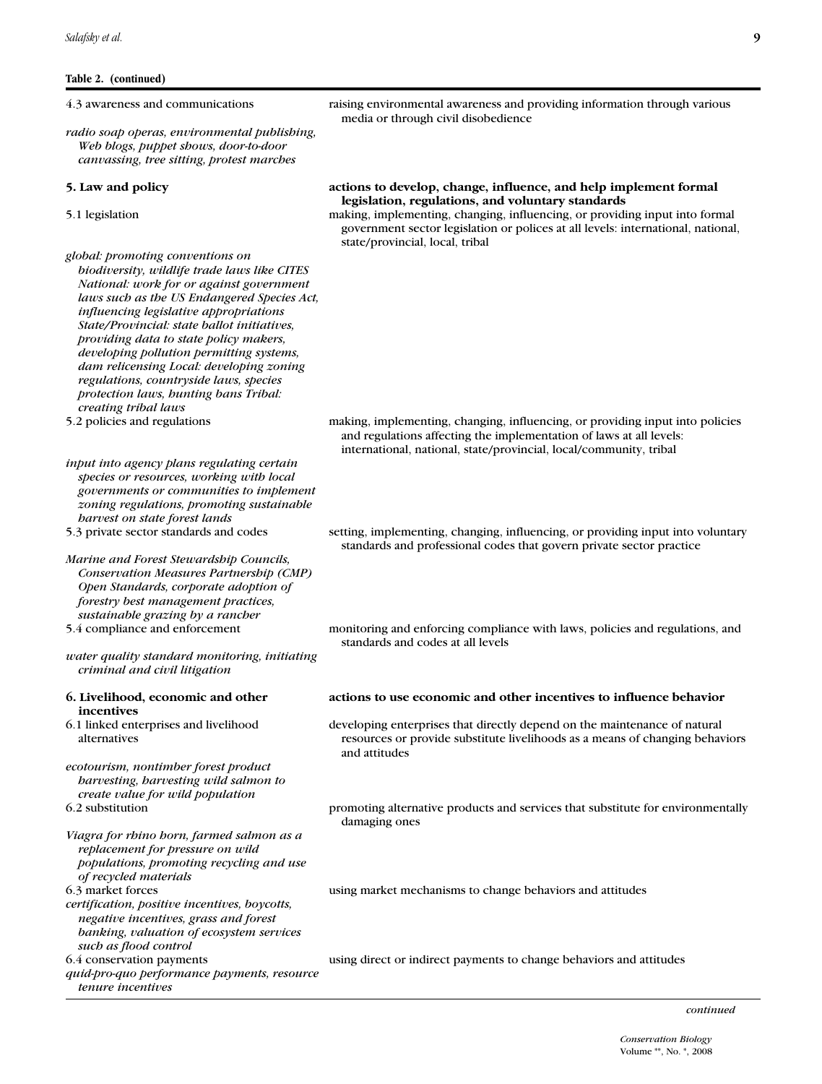#### **Table 2. (continued)**

*radio soap operas, environmental publishing, Web blogs, puppet shows, door-to-door canvassing, tree sitting, protest marches*

*global: promoting conventions on biodiversity, wildlife trade laws like CITES National: work for or against government laws such as the US Endangered Species Act, influencing legislative appropriations State/Provincial: state ballot initiatives, providing data to state policy makers, developing pollution permitting systems, dam relicensing Local: developing zoning regulations, countryside laws, species protection laws, hunting bans Tribal: creating tribal laws*

*input into agency plans regulating certain species or resources, working with local governments or communities to implement zoning regulations, promoting sustainable harvest on state forest lands*

*Marine and Forest Stewardship Councils, Conservation Measures Partnership (CMP) Open Standards, corporate adoption of forestry best management practices, sustainable grazing by a rancher*

*water quality standard monitoring, initiating criminal and civil litigation*

**6. Livelihood, economic and other incentives**

6.1 linked enterprises and livelihood alternatives

*ecotourism, nontimber forest product harvesting, harvesting wild salmon to create value for wild population*

*Viagra for rhino horn, farmed salmon as a replacement for pressure on wild populations, promoting recycling and use of recycled materials*

*certification, positive incentives, boycotts, negative incentives, grass and forest banking, valuation of ecosystem services such as flood control*

*quid-pro-quo performance payments, resource tenure incentives*

4.3 awareness and communications raising environmental awareness and providing information through various media or through civil disobedience

#### **5. Law and policy actions to develop, change, influence, and help implement formal legislation, regulations, and voluntary standards**

5.1 legislation making, implementing, changing, influencing, or providing input into formal government sector legislation or polices at all levels: international, national, state/provincial, local, tribal

5.2 policies and regulations making, implementing, changing, influencing, or providing input into policies and regulations affecting the implementation of laws at all levels: international, national, state/provincial, local/community, tribal

> setting, implementing, changing, influencing, or providing input into voluntary standards and professional codes that govern private sector practice

monitoring and enforcing compliance with laws, policies and regulations, and standards and codes at all levels

#### **actions to use economic and other incentives to influence behavior**

developing enterprises that directly depend on the maintenance of natural resources or provide substitute livelihoods as a means of changing behaviors and attitudes

6.2 substitution promoting alternative products and services that substitute for environmentally damaging ones

6.3 market forces using market mechanisms to change behaviors and attitudes

6.4 conservation payments using direct or indirect payments to change behaviors and attitudes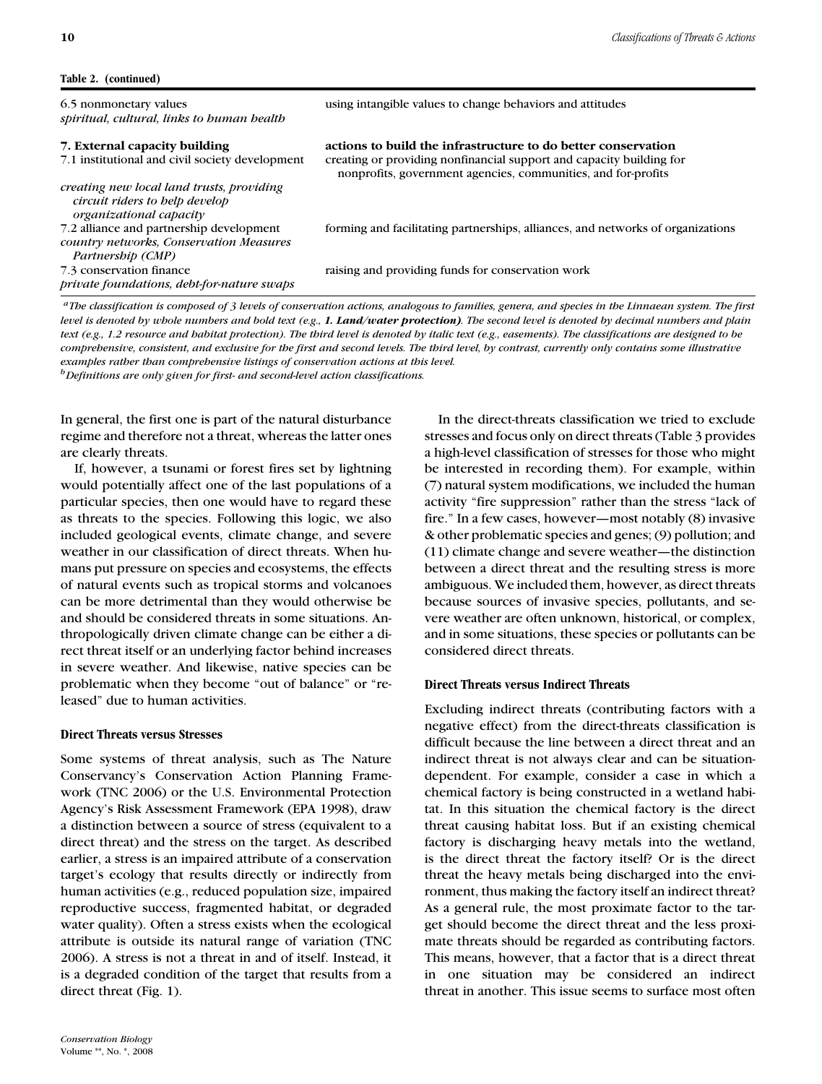### **Table 2. (continued)**

| using intangible values to change behaviors and attitudes                                                                             |
|---------------------------------------------------------------------------------------------------------------------------------------|
| actions to build the infrastructure to do better conservation                                                                         |
| creating or providing nonfinancial support and capacity building for<br>nonprofits, government agencies, communities, and for-profits |
|                                                                                                                                       |
| forming and facilitating partnerships, alliances, and networks of organizations                                                       |
| raising and providing funds for conservation work                                                                                     |
|                                                                                                                                       |

*aThe classification is composed of 3 levels of conservation actions, analogous to families, genera, and species in the Linnaean system. The first level is denoted by whole numbers and bold text (e.g., 1. Land/water protection). The second level is denoted by decimal numbers and plain text (e.g., 1.2 resource and habitat protection). The third level is denoted by italic text (e.g., easements). The classifications are designed to be comprehensive, consistent, and exclusive for the first and second levels. The third level, by contrast, currently only contains some illustrative examples rather than comprehensive listings of conservation actions at this level. bDefinitions are only given for first- and second-level action classifications.*

In general, the first one is part of the natural disturbance regime and therefore not a threat, whereas the latter ones are clearly threats.

If, however, a tsunami or forest fires set by lightning would potentially affect one of the last populations of a particular species, then one would have to regard these as threats to the species. Following this logic, we also included geological events, climate change, and severe weather in our classification of direct threats. When humans put pressure on species and ecosystems, the effects of natural events such as tropical storms and volcanoes can be more detrimental than they would otherwise be and should be considered threats in some situations. Anthropologically driven climate change can be either a direct threat itself or an underlying factor behind increases in severe weather. And likewise, native species can be problematic when they become "out of balance" or "released" due to human activities.

# **Direct Threats versus Stresses**

Some systems of threat analysis, such as The Nature Conservancy's Conservation Action Planning Framework (TNC 2006) or the U.S. Environmental Protection Agency's Risk Assessment Framework (EPA 1998), draw a distinction between a source of stress (equivalent to a direct threat) and the stress on the target. As described earlier, a stress is an impaired attribute of a conservation target's ecology that results directly or indirectly from human activities (e.g., reduced population size, impaired reproductive success, fragmented habitat, or degraded water quality). Often a stress exists when the ecological attribute is outside its natural range of variation (TNC 2006). A stress is not a threat in and of itself. Instead, it is a degraded condition of the target that results from a direct threat (Fig. 1).

In the direct-threats classification we tried to exclude stresses and focus only on direct threats (Table 3 provides a high-level classification of stresses for those who might be interested in recording them). For example, within (7) natural system modifications, we included the human activity "fire suppression" rather than the stress "lack of fire." In a few cases, however—most notably (8) invasive & other problematic species and genes; (9) pollution; and (11) climate change and severe weather—the distinction between a direct threat and the resulting stress is more ambiguous. We included them, however, as direct threats because sources of invasive species, pollutants, and severe weather are often unknown, historical, or complex, and in some situations, these species or pollutants can be considered direct threats.

# **Direct Threats versus Indirect Threats**

Excluding indirect threats (contributing factors with a negative effect) from the direct-threats classification is difficult because the line between a direct threat and an indirect threat is not always clear and can be situationdependent. For example, consider a case in which a chemical factory is being constructed in a wetland habitat. In this situation the chemical factory is the direct threat causing habitat loss. But if an existing chemical factory is discharging heavy metals into the wetland, is the direct threat the factory itself? Or is the direct threat the heavy metals being discharged into the environment, thus making the factory itself an indirect threat? As a general rule, the most proximate factor to the target should become the direct threat and the less proximate threats should be regarded as contributing factors. This means, however, that a factor that is a direct threat in one situation may be considered an indirect threat in another. This issue seems to surface most often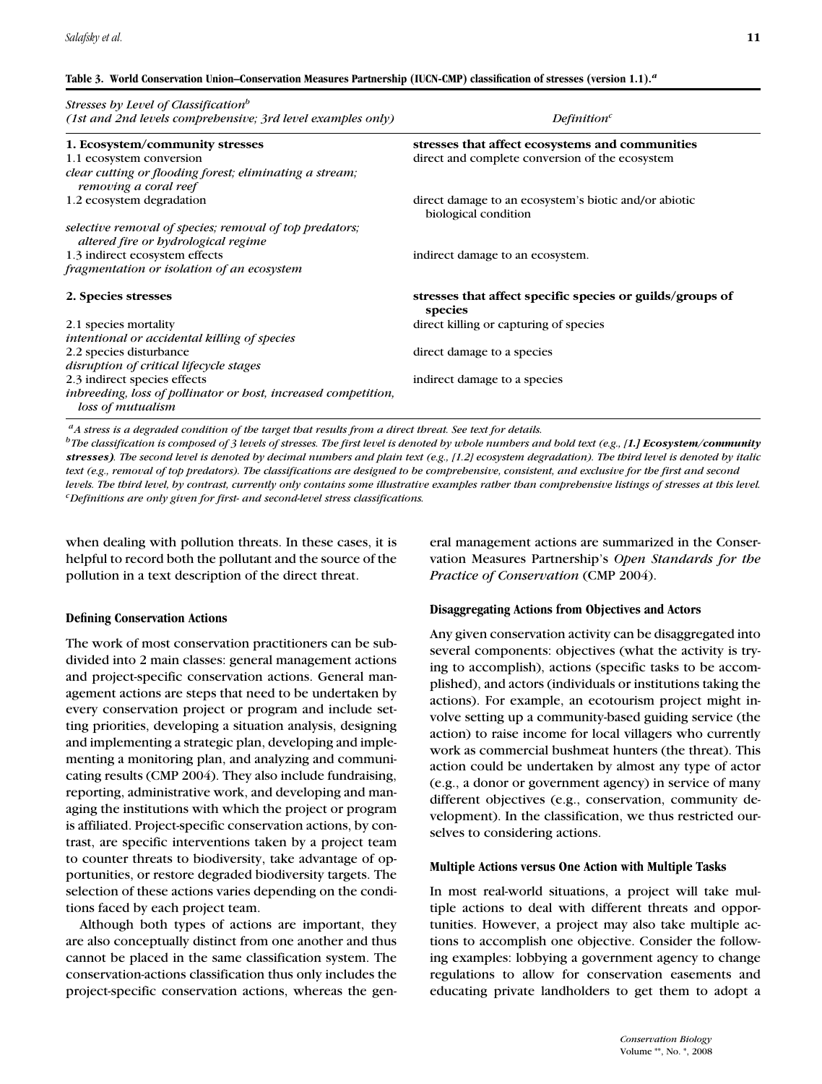# **Table 3. World Conservation Union–Conservation Measures Partnership (IUCN-CMP) classification of stresses (version 1.1).***<sup>a</sup>*

| Stresses by Level of Classification <sup>b</sup><br>(1st and 2nd levels comprehensive; 3rd level examples only) | Definition <sup>c</sup>                                                       |
|-----------------------------------------------------------------------------------------------------------------|-------------------------------------------------------------------------------|
| 1. Ecosystem/community stresses                                                                                 | stresses that affect ecosystems and communities                               |
| 1.1 ecosystem conversion                                                                                        | direct and complete conversion of the ecosystem                               |
| clear cutting or flooding forest; eliminating a stream;<br>removing a coral reef                                |                                                                               |
| 1.2 ecosystem degradation                                                                                       | direct damage to an ecosystem's biotic and/or abiotic<br>biological condition |
| selective removal of species; removal of top predators;<br>altered fire or bydrological regime                  |                                                                               |
| 1.3 indirect ecosystem effects                                                                                  | indirect damage to an ecosystem.                                              |
| fragmentation or isolation of an ecosystem                                                                      |                                                                               |
| 2. Species stresses                                                                                             | stresses that affect specific species or guilds/groups of<br>species          |
| 2.1 species mortality                                                                                           | direct killing or capturing of species                                        |
| intentional or accidental killing of species                                                                    |                                                                               |
| 2.2 species disturbance                                                                                         | direct damage to a species                                                    |
| disruption of critical lifecycle stages                                                                         |                                                                               |
| 2.3 indirect species effects                                                                                    | indirect damage to a species                                                  |
| inbreeding, loss of pollinator or bost, increased competition,<br>loss of mutualism                             |                                                                               |

*aA stress is a degraded condition of the target that results from a direct threat. See text for details.*

*bThe classification is composed of 3 levels of stresses. The first level is denoted by whole numbers and bold text (e.g., [1.] Ecosystem/community stresses). The second level is denoted by decimal numbers and plain text (e.g., [1.2] ecosystem degradation). The third level is denoted by italic text (e.g., removal of top predators). The classifications are designed to be comprehensive, consistent, and exclusive for the first and second levels. The third level, by contrast, currently only contains some illustrative examples rather than comprehensive listings of stresses at this level. cDefinitions are only given for first- and second-level stress classifications.*

when dealing with pollution threats. In these cases, it is helpful to record both the pollutant and the source of the pollution in a text description of the direct threat.

#### **Defining Conservation Actions**

The work of most conservation practitioners can be subdivided into 2 main classes: general management actions and project-specific conservation actions. General management actions are steps that need to be undertaken by every conservation project or program and include setting priorities, developing a situation analysis, designing and implementing a strategic plan, developing and implementing a monitoring plan, and analyzing and communicating results (CMP 2004). They also include fundraising, reporting, administrative work, and developing and managing the institutions with which the project or program is affiliated. Project-specific conservation actions, by contrast, are specific interventions taken by a project team to counter threats to biodiversity, take advantage of opportunities, or restore degraded biodiversity targets. The selection of these actions varies depending on the conditions faced by each project team.

Although both types of actions are important, they are also conceptually distinct from one another and thus cannot be placed in the same classification system. The conservation-actions classification thus only includes the project-specific conservation actions, whereas the general management actions are summarized in the Conservation Measures Partnership's *Open Standards for the Practice of Conservation* (CMP 2004).

# **Disaggregating Actions from Objectives and Actors**

Any given conservation activity can be disaggregated into several components: objectives (what the activity is trying to accomplish), actions (specific tasks to be accomplished), and actors (individuals or institutions taking the actions). For example, an ecotourism project might involve setting up a community-based guiding service (the action) to raise income for local villagers who currently work as commercial bushmeat hunters (the threat). This action could be undertaken by almost any type of actor (e.g., a donor or government agency) in service of many different objectives (e.g., conservation, community development). In the classification, we thus restricted ourselves to considering actions.

#### **Multiple Actions versus One Action with Multiple Tasks**

In most real-world situations, a project will take multiple actions to deal with different threats and opportunities. However, a project may also take multiple actions to accomplish one objective. Consider the following examples: lobbying a government agency to change regulations to allow for conservation easements and educating private landholders to get them to adopt a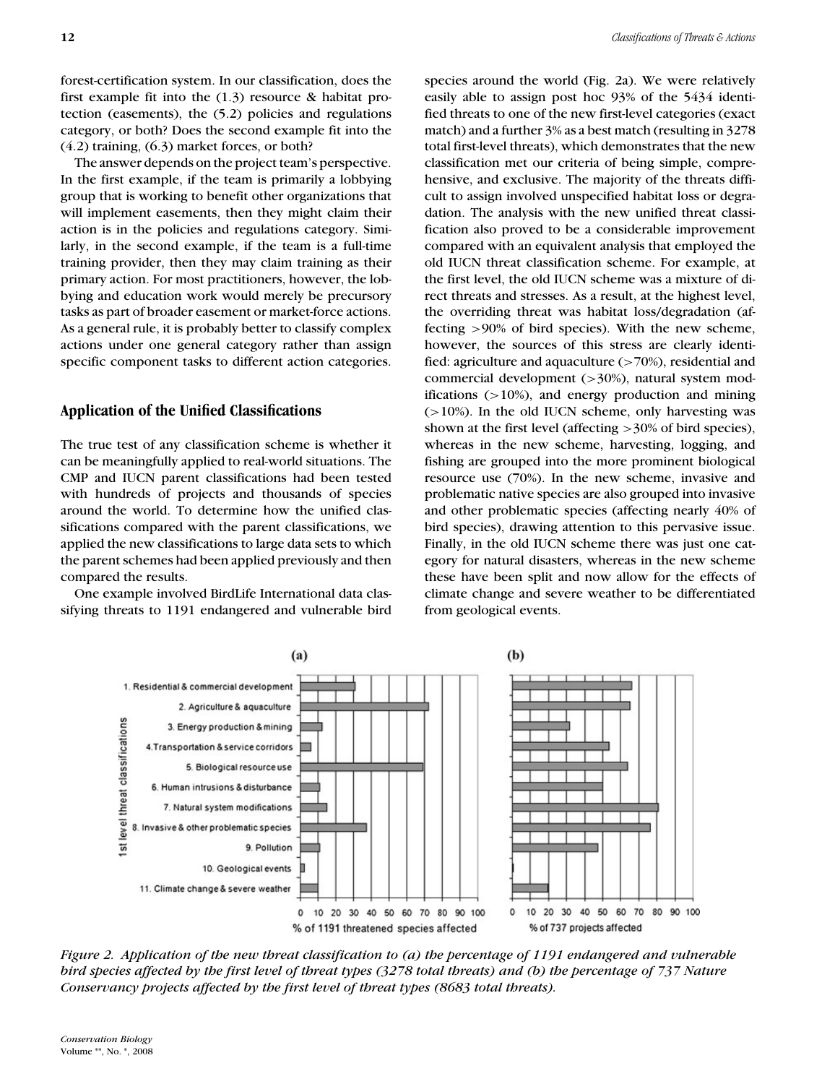forest-certification system. In our classification, does the first example fit into the (1.3) resource & habitat protection (easements), the (5.2) policies and regulations category, or both? Does the second example fit into the (4.2) training, (6.3) market forces, or both?

The answer depends on the project team's perspective. In the first example, if the team is primarily a lobbying group that is working to benefit other organizations that will implement easements, then they might claim their action is in the policies and regulations category. Similarly, in the second example, if the team is a full-time training provider, then they may claim training as their primary action. For most practitioners, however, the lobbying and education work would merely be precursory tasks as part of broader easement or market-force actions. As a general rule, it is probably better to classify complex actions under one general category rather than assign specific component tasks to different action categories.

# **Application of the Unified Classifications**

The true test of any classification scheme is whether it can be meaningfully applied to real-world situations. The CMP and IUCN parent classifications had been tested with hundreds of projects and thousands of species around the world. To determine how the unified classifications compared with the parent classifications, we applied the new classifications to large data sets to which the parent schemes had been applied previously and then compared the results.

One example involved BirdLife International data classifying threats to 1191 endangered and vulnerable bird

species around the world (Fig. 2a). We were relatively easily able to assign post hoc 93% of the 5434 identified threats to one of the new first-level categories (exact match) and a further 3% as a best match (resulting in 3278 total first-level threats), which demonstrates that the new classification met our criteria of being simple, comprehensive, and exclusive. The majority of the threats difficult to assign involved unspecified habitat loss or degradation. The analysis with the new unified threat classification also proved to be a considerable improvement compared with an equivalent analysis that employed the old IUCN threat classification scheme. For example, at the first level, the old IUCN scheme was a mixture of direct threats and stresses. As a result, at the highest level, the overriding threat was habitat loss/degradation (affecting >90% of bird species). With the new scheme, however, the sources of this stress are clearly identified: agriculture and aquaculture  $(>70%)$ , residential and commercial development (>30%), natural system modifications  $(>10\%)$ , and energy production and mining  $(>10\%)$ . In the old IUCN scheme, only harvesting was shown at the first level (affecting >30% of bird species), whereas in the new scheme, harvesting, logging, and fishing are grouped into the more prominent biological resource use (70%). In the new scheme, invasive and problematic native species are also grouped into invasive and other problematic species (affecting nearly 40% of bird species), drawing attention to this pervasive issue. Finally, in the old IUCN scheme there was just one category for natural disasters, whereas in the new scheme these have been split and now allow for the effects of climate change and severe weather to be differentiated from geological events.



*Figure 2. Application of the new threat classification to (a) the percentage of 1191 endangered and vulnerable bird species affected by the first level of threat types (3278 total threats) and (b) the percentage of 737 Nature Conservancy projects affected by the first level of threat types (8683 total threats).*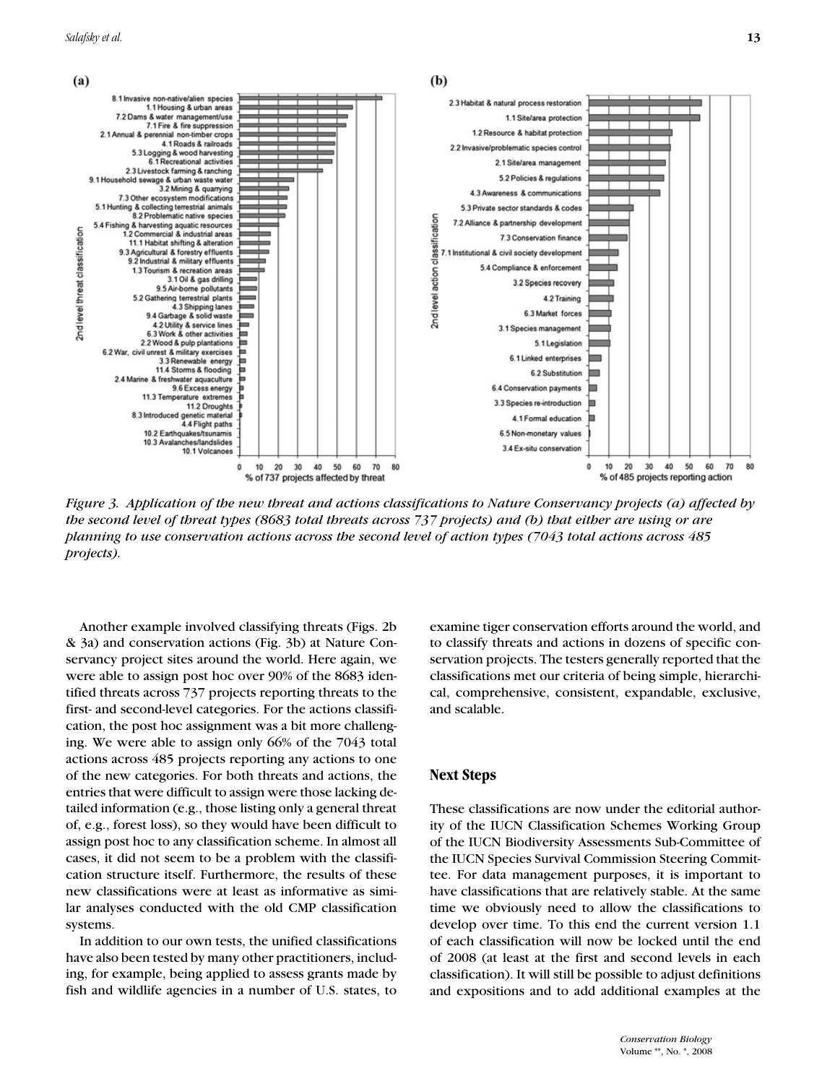

*Figure 3. Application of the new threat and actions classifications to Nature Conservancy projects (a) affected by the second level of threat types (8683 total threats across 737 projects) and (b) that either are using or are planning to use conservation actions across the second level of action types (7043 total actions across 485 projects).*

Another example involved classifying threats (Figs. 2b & 3a) and conservation actions (Fig. 3b) at Nature Conservancy project sites around the world. Here again, we were able to assign post hoc over 90% of the 8683 identified threats across 737 projects reporting threats to the first- and second-level categories. For the actions classification, the post hoc assignment was a bit more challenging. We were able to assign only 66% of the 7043 total actions across 485 projects reporting any actions to one of the new categories. For both threats and actions, the entries that were difficult to assign were those lacking detailed information (e.g., those listing only a general threat of, e.g., forest loss), so they would have been difficult to assign post hoc to any classification scheme. In almost all cases, it did not seem to be a problem with the classification structure itself. Furthermore, the results of these new classifications were at least as informative as similar analyses conducted with the old CMP classification systems.

In addition to our own tests, the unified classifications have also been tested by many other practitioners, including, for example, being applied to assess grants made by fish and wildlife agencies in a number of U.S. states, to examine tiger conservation efforts around the world, and to classify threats and actions in dozens of specific conservation projects. The testers generally reported that the classifications met our criteria of being simple, hierarchical, comprehensive, consistent, expandable, exclusive, and scalable.

# **Next Steps**

These classifications are now under the editorial authority of the IUCN Classification Schemes Working Group of the IUCN Biodiversity Assessments Sub-Committee of the IUCN Species Survival Commission Steering Committee. For data management purposes, it is important to have classifications that are relatively stable. At the same time we obviously need to allow the classifications to develop over time. To this end the current version 1.1 of each classification will now be locked until the end of 2008 (at least at the first and second levels in each classification). It will still be possible to adjust definitions and expositions and to add additional examples at the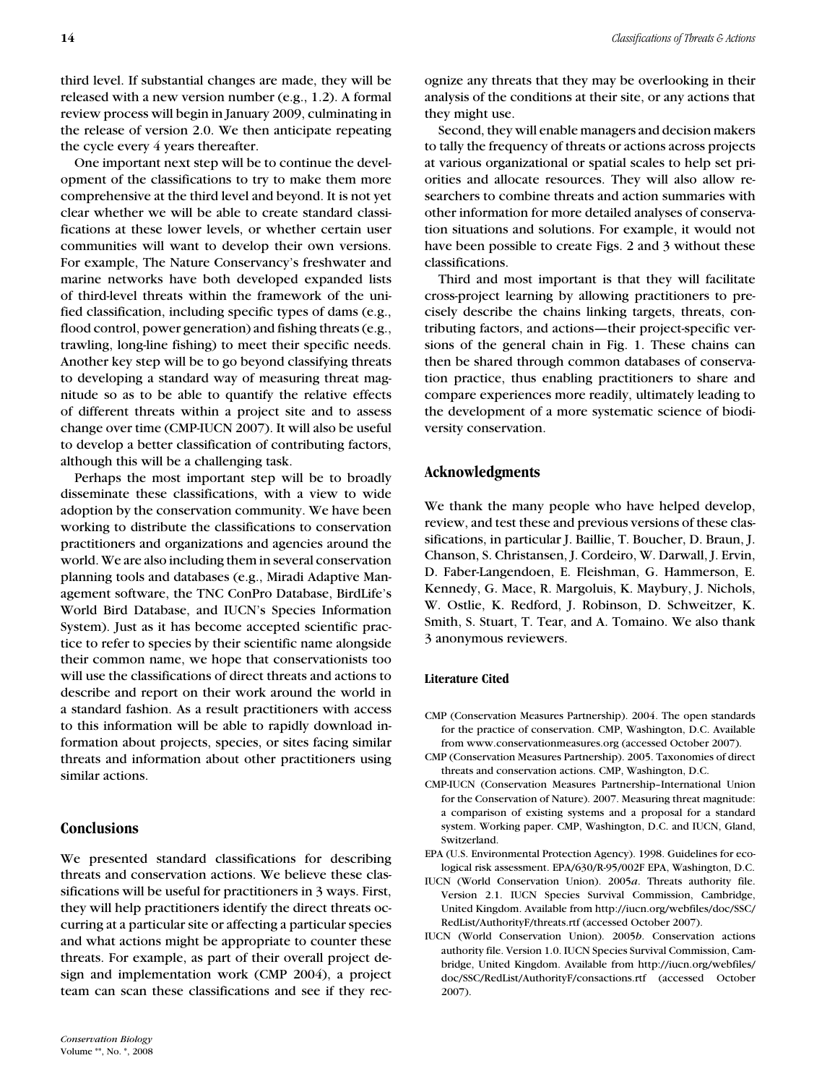third level. If substantial changes are made, they will be released with a new version number (e.g., 1.2). A formal review process will begin in January 2009, culminating in the release of version 2.0. We then anticipate repeating the cycle every 4 years thereafter.

One important next step will be to continue the development of the classifications to try to make them more comprehensive at the third level and beyond. It is not yet clear whether we will be able to create standard classifications at these lower levels, or whether certain user communities will want to develop their own versions. For example, The Nature Conservancy's freshwater and marine networks have both developed expanded lists of third-level threats within the framework of the unified classification, including specific types of dams (e.g., flood control, power generation) and fishing threats (e.g., trawling, long-line fishing) to meet their specific needs. Another key step will be to go beyond classifying threats to developing a standard way of measuring threat magnitude so as to be able to quantify the relative effects of different threats within a project site and to assess change over time (CMP-IUCN 2007). It will also be useful to develop a better classification of contributing factors, although this will be a challenging task.

Perhaps the most important step will be to broadly disseminate these classifications, with a view to wide adoption by the conservation community. We have been working to distribute the classifications to conservation practitioners and organizations and agencies around the world. We are also including them in several conservation planning tools and databases (e.g., Miradi Adaptive Management software, the TNC ConPro Database, BirdLife's World Bird Database, and IUCN's Species Information System). Just as it has become accepted scientific practice to refer to species by their scientific name alongside their common name, we hope that conservationists too will use the classifications of direct threats and actions to describe and report on their work around the world in a standard fashion. As a result practitioners with access to this information will be able to rapidly download information about projects, species, or sites facing similar threats and information about other practitioners using similar actions.

### **Conclusions**

We presented standard classifications for describing threats and conservation actions. We believe these classifications will be useful for practitioners in 3 ways. First, they will help practitioners identify the direct threats occurring at a particular site or affecting a particular species and what actions might be appropriate to counter these threats. For example, as part of their overall project design and implementation work (CMP 2004), a project team can scan these classifications and see if they recognize any threats that they may be overlooking in their analysis of the conditions at their site, or any actions that they might use.

Second, they will enable managers and decision makers to tally the frequency of threats or actions across projects at various organizational or spatial scales to help set priorities and allocate resources. They will also allow researchers to combine threats and action summaries with other information for more detailed analyses of conservation situations and solutions. For example, it would not have been possible to create Figs. 2 and 3 without these classifications.

Third and most important is that they will facilitate cross-project learning by allowing practitioners to precisely describe the chains linking targets, threats, contributing factors, and actions—their project-specific versions of the general chain in Fig. 1. These chains can then be shared through common databases of conservation practice, thus enabling practitioners to share and compare experiences more readily, ultimately leading to the development of a more systematic science of biodiversity conservation.

# **Acknowledgments**

We thank the many people who have helped develop, review, and test these and previous versions of these classifications, in particular J. Baillie, T. Boucher, D. Braun, J. Chanson, S. Christansen, J. Cordeiro, W. Darwall, J. Ervin, D. Faber-Langendoen, E. Fleishman, G. Hammerson, E. Kennedy, G. Mace, R. Margoluis, K. Maybury, J. Nichols, W. Ostlie, K. Redford, J. Robinson, D. Schweitzer, K. Smith, S. Stuart, T. Tear, and A. Tomaino. We also thank 3 anonymous reviewers.

#### **Literature Cited**

- CMP (Conservation Measures Partnership). 2004. The open standards for the practice of conservation. CMP, Washington, D.C. Available from www.conservationmeasures.org (accessed October 2007).
- CMP (Conservation Measures Partnership). 2005. Taxonomies of direct threats and conservation actions. CMP, Washington, D.C.
- CMP-IUCN (Conservation Measures Partnership–International Union for the Conservation of Nature). 2007. Measuring threat magnitude: a comparison of existing systems and a proposal for a standard system. Working paper. CMP, Washington, D.C. and IUCN, Gland, Switzerland.
- EPA (U.S. Environmental Protection Agency). 1998. Guidelines for ecological risk assessment. EPA/630/R-95/002F EPA, Washington, D.C.
- IUCN (World Conservation Union). 2005*a*. Threats authority file. Version 2.1. IUCN Species Survival Commission, Cambridge, United Kingdom. Available from http://iucn.org/webfiles/doc/SSC/ RedList/AuthorityF/threats.rtf (accessed October 2007).
- IUCN (World Conservation Union). 2005*b*. Conservation actions authority file. Version 1.0. IUCN Species Survival Commission, Cambridge, United Kingdom. Available from http://iucn.org/webfiles/ doc/SSC/RedList/AuthorityF/consactions.rtf (accessed October 2007).